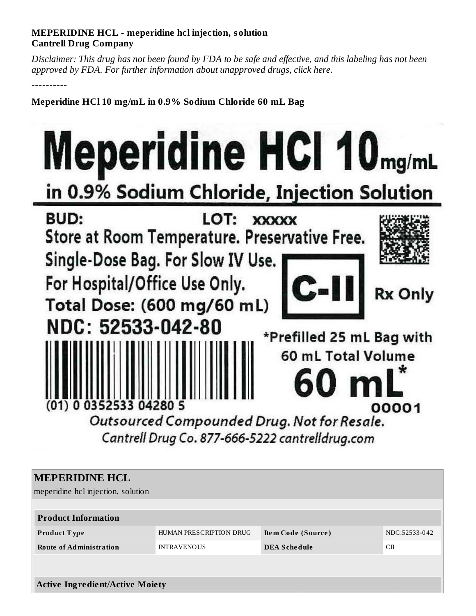## **MEPERIDINE HCL - meperidine hcl injection, solution Cantrell Drug Company**

Disclaimer: This drug has not been found by FDA to be safe and effective, and this labeling has not been *approved by FDA. For further information about unapproved drugs, click here.*

----------

**Meperidine HCl 10 mg/mL in 0.9% Sodium Chloride 60 mL Bag**



| <b>MEPERIDINE HCL</b>                  |                         |                     |               |  |  |  |
|----------------------------------------|-------------------------|---------------------|---------------|--|--|--|
| meperidine hcl injection, solution     |                         |                     |               |  |  |  |
|                                        |                         |                     |               |  |  |  |
| <b>Product Information</b>             |                         |                     |               |  |  |  |
| <b>Product Type</b>                    | HUMAN PRESCRIPTION DRUG | Item Code (Source)  | NDC:52533-042 |  |  |  |
| <b>Route of Administration</b>         | <b>INTRAVENOUS</b>      | <b>DEA Schedule</b> | CП            |  |  |  |
|                                        |                         |                     |               |  |  |  |
|                                        |                         |                     |               |  |  |  |
| <b>Active Ingredient/Active Moiety</b> |                         |                     |               |  |  |  |